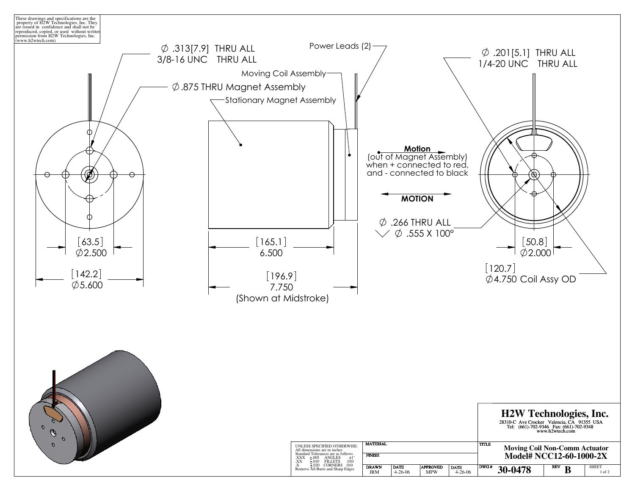